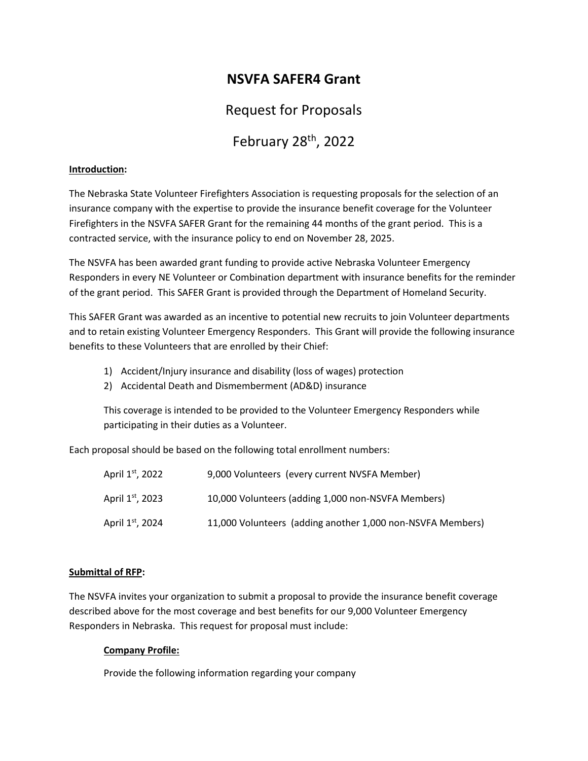# **NSVFA SAFER4 Grant**

## Request for Proposals

# February 28<sup>th</sup>, 2022

#### **Introduction:**

The Nebraska State Volunteer Firefighters Association is requesting proposals for the selection of an insurance company with the expertise to provide the insurance benefit coverage for the Volunteer Firefighters in the NSVFA SAFER Grant for the remaining 44 months of the grant period. This is a contracted service, with the insurance policy to end on November 28, 2025.

The NSVFA has been awarded grant funding to provide active Nebraska Volunteer Emergency Responders in every NE Volunteer or Combination department with insurance benefits for the reminder of the grant period. This SAFER Grant is provided through the Department of Homeland Security.

This SAFER Grant was awarded as an incentive to potential new recruits to join Volunteer departments and to retain existing Volunteer Emergency Responders. This Grant will provide the following insurance benefits to these Volunteers that are enrolled by their Chief:

- 1) Accident/Injury insurance and disability (loss of wages) protection
- 2) Accidental Death and Dismemberment (AD&D) insurance

This coverage is intended to be provided to the Volunteer Emergency Responders while participating in their duties as a Volunteer.

Each proposal should be based on the following total enrollment numbers:

| April 1 <sup>st</sup> , 2022 | 9,000 Volunteers (every current NVSFA Member)              |
|------------------------------|------------------------------------------------------------|
| April 1st, 2023              | 10,000 Volunteers (adding 1,000 non-NSVFA Members)         |
| April 1 <sup>st</sup> , 2024 | 11,000 Volunteers (adding another 1,000 non-NSVFA Members) |

#### **Submittal of RFP:**

The NSVFA invites your organization to submit a proposal to provide the insurance benefit coverage described above for the most coverage and best benefits for our 9,000 Volunteer Emergency Responders in Nebraska. This request for proposal must include:

#### **Company Profile:**

Provide the following information regarding your company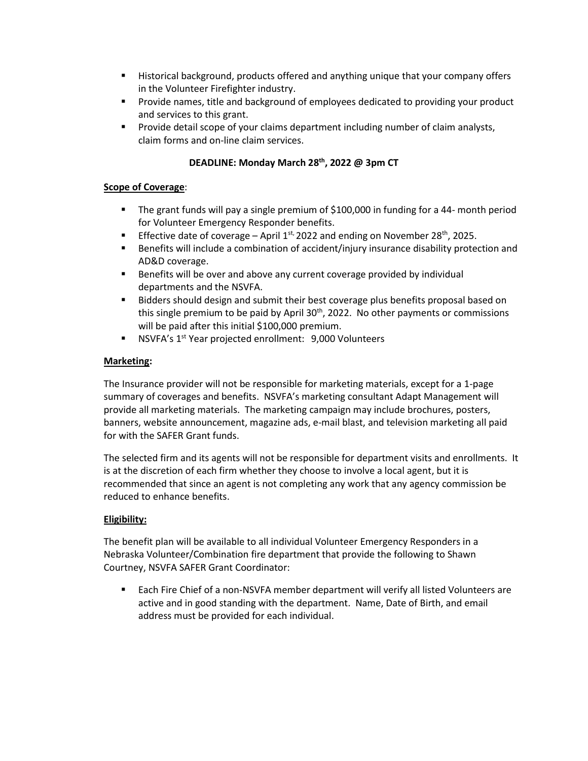- Historical background, products offered and anything unique that your company offers in the Volunteer Firefighter industry.
- Provide names, title and background of employees dedicated to providing your product and services to this grant.
- **•** Provide detail scope of your claims department including number of claim analysts, claim forms and on-line claim services.

## **DEADLINE: Monday March 28 th, 2022 @ 3pm CT**

#### **Scope of Coverage**:

- The grant funds will pay a single premium of \$100,000 in funding for a 44- month period for Volunteer Emergency Responder benefits.
- **Effective date of coverage April 1st, 2022 and ending on November 28<sup>th</sup>, 2025.**
- Benefits will include a combination of accident/injury insurance disability protection and AD&D coverage.
- Benefits will be over and above any current coverage provided by individual departments and the NSVFA.
- Bidders should design and submit their best coverage plus benefits proposal based on this single premium to be paid by April  $30<sup>th</sup>$ , 2022. No other payments or commissions will be paid after this initial \$100,000 premium.
- NSVFA's 1<sup>st</sup> Year projected enrollment: 9,000 Volunteers

#### **Marketing:**

The Insurance provider will not be responsible for marketing materials, except for a 1-page summary of coverages and benefits. NSVFA's marketing consultant Adapt Management will provide all marketing materials. The marketing campaign may include brochures, posters, banners, website announcement, magazine ads, e-mail blast, and television marketing all paid for with the SAFER Grant funds.

The selected firm and its agents will not be responsible for department visits and enrollments. It is at the discretion of each firm whether they choose to involve a local agent, but it is recommended that since an agent is not completing any work that any agency commission be reduced to enhance benefits.

### **Eligibility:**

The benefit plan will be available to all individual Volunteer Emergency Responders in a Nebraska Volunteer/Combination fire department that provide the following to Shawn Courtney, NSVFA SAFER Grant Coordinator:

■ Each Fire Chief of a non-NSVFA member department will verify all listed Volunteers are active and in good standing with the department. Name, Date of Birth, and email address must be provided for each individual.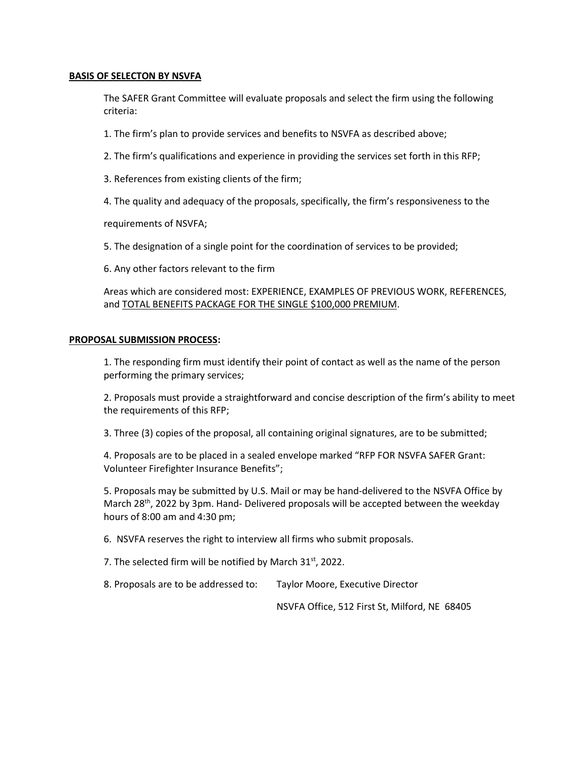#### **BASIS OF SELECTON BY NSVFA**

The SAFER Grant Committee will evaluate proposals and select the firm using the following criteria:

1. The firm's plan to provide services and benefits to NSVFA as described above;

2. The firm's qualifications and experience in providing the services set forth in this RFP;

3. References from existing clients of the firm;

4. The quality and adequacy of the proposals, specifically, the firm's responsiveness to the

requirements of NSVFA;

5. The designation of a single point for the coordination of services to be provided;

6. Any other factors relevant to the firm

Areas which are considered most: EXPERIENCE, EXAMPLES OF PREVIOUS WORK, REFERENCES, and TOTAL BENEFITS PACKAGE FOR THE SINGLE \$100,000 PREMIUM.

#### **PROPOSAL SUBMISSION PROCESS:**

1. The responding firm must identify their point of contact as well as the name of the person performing the primary services;

2. Proposals must provide a straightforward and concise description of the firm's ability to meet the requirements of this RFP;

3. Three (3) copies of the proposal, all containing original signatures, are to be submitted;

4. Proposals are to be placed in a sealed envelope marked "RFP FOR NSVFA SAFER Grant: Volunteer Firefighter Insurance Benefits";

5. Proposals may be submitted by U.S. Mail or may be hand-delivered to the NSVFA Office by March 28<sup>th</sup>, 2022 by 3pm. Hand- Delivered proposals will be accepted between the weekday hours of 8:00 am and 4:30 pm;

6. NSVFA reserves the right to interview all firms who submit proposals.

7. The selected firm will be notified by March 31st, 2022.

8. Proposals are to be addressed to: Taylor Moore, Executive Director

NSVFA Office, 512 First St, Milford, NE 68405